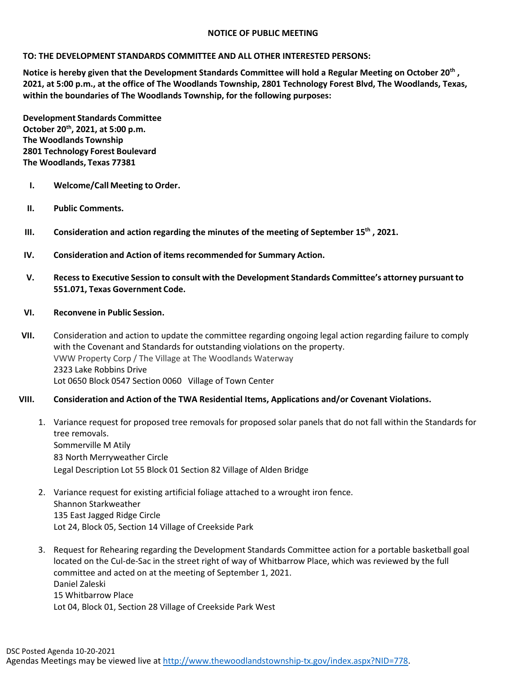## **NOTICE OF PUBLIC MEETING**

## **TO: THE DEVELOPMENT STANDARDS COMMITTEE AND ALL OTHER INTERESTED PERSONS:**

**Notice is hereby given that the Development Standards Committee will hold a Regular Meeting on October 20th , 2021, at 5:00 p.m., at the office of The Woodlands Township, 2801 Technology Forest Blvd, The Woodlands, Texas, within the boundaries of The Woodlands Township, for the following purposes:**

**Development Standards Committee October 20th, 2021, at 5:00 p.m. The Woodlands Township 2801 Technology Forest Boulevard The Woodlands, Texas 77381**

- **I. Welcome/Call Meeting to Order.**
- **II. Public Comments.**
- **III. Consideration and action regarding the minutes of the meeting of September 15th , 2021.**
- **IV. Consideration and Action of items recommended for Summary Action.**
- **V. Recessto Executive Session to consult with the Development Standards Committee's attorney pursuant to 551.071, Texas Government Code.**
- **VI. Reconvene in Public Session.**
- **VII.** Consideration and action to update the committee regarding ongoing legal action regarding failure to comply with the Covenant and Standards for outstanding violations on the property. VWW Property Corp / The Village at The Woodlands Waterway 2323 Lake Robbins Drive Lot 0650 Block 0547 Section 0060 Village of Town Center
- **VIII. Consideration and Action of the TWA Residential Items, Applications and/or Covenant Violations.** 
	- 1. Variance request for proposed tree removals for proposed solar panels that do not fall within the Standards for tree removals. Sommerville M Atily 83 North Merryweather Circle Legal Description Lot 55 Block 01 Section 82 Village of Alden Bridge
	- 2. Variance request for existing artificial foliage attached to a wrought iron fence. Shannon Starkweather 135 East Jagged Ridge Circle Lot 24, Block 05, Section 14 Village of Creekside Park
	- 3. Request for Rehearing regarding the Development Standards Committee action for a portable basketball goal located on the Cul-de-Sac in the street right of way of Whitbarrow Place, which was reviewed by the full committee and acted on at the meeting of September 1, 2021. Daniel Zaleski 15 Whitbarrow Place Lot 04, Block 01, Section 28 Village of Creekside Park West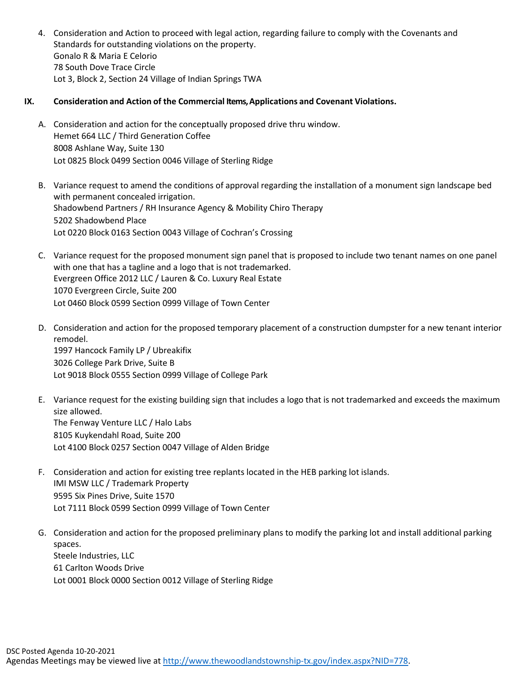4. Consideration and Action to proceed with legal action, regarding failure to comply with the Covenants and Standards for outstanding violations on the property. Gonalo R & Maria E Celorio 78 South Dove Trace Circle Lot 3, Block 2, Section 24 Village of Indian Springs TWA

## **IX. Consideration and Action of the Commercial Items, Applications and Covenant Violations.**

- A. Consideration and action for the conceptually proposed drive thru window. Hemet 664 LLC / Third Generation Coffee 8008 Ashlane Way, Suite 130 Lot 0825 Block 0499 Section 0046 Village of Sterling Ridge
- B. Variance request to amend the conditions of approval regarding the installation of a monument sign landscape bed with permanent concealed irrigation. Shadowbend Partners / RH Insurance Agency & Mobility Chiro Therapy 5202 Shadowbend Place Lot 0220 Block 0163 Section 0043 Village of Cochran's Crossing
- C. Variance request for the proposed monument sign panel that is proposed to include two tenant names on one panel with one that has a tagline and a logo that is not trademarked. Evergreen Office 2012 LLC / Lauren & Co. Luxury Real Estate 1070 Evergreen Circle, Suite 200 Lot 0460 Block 0599 Section 0999 Village of Town Center
- D. Consideration and action for the proposed temporary placement of a construction dumpster for a new tenant interior remodel. 1997 Hancock Family LP / Ubreakifix 3026 College Park Drive, Suite B Lot 9018 Block 0555 Section 0999 Village of College Park
- E. Variance request for the existing building sign that includes a logo that is not trademarked and exceeds the maximum size allowed. The Fenway Venture LLC / Halo Labs 8105 Kuykendahl Road, Suite 200 Lot 4100 Block 0257 Section 0047 Village of Alden Bridge
- F. Consideration and action for existing tree replants located in the HEB parking lot islands. IMI MSW LLC / Trademark Property 9595 Six Pines Drive, Suite 1570 Lot 7111 Block 0599 Section 0999 Village of Town Center
- G. Consideration and action for the proposed preliminary plans to modify the parking lot and install additional parking spaces. Steele Industries, LLC 61 Carlton Woods Drive Lot 0001 Block 0000 Section 0012 Village of Sterling Ridge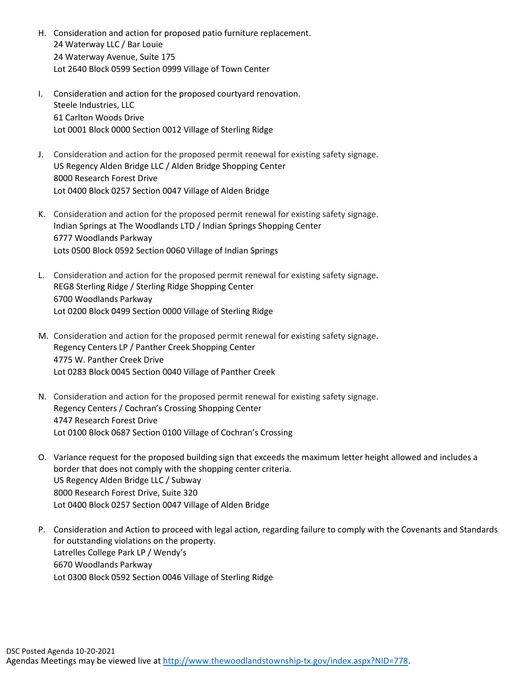- H. Consideration and action for proposed patio furniture replacement. 24 Waterway LLC / Bar Louie 24 Waterway Avenue, Suite 175 Lot 2640 Block 0599 Section 0999 Village of Town Center
- I. Consideration and action for the proposed courtyard renovation. Steele Industries, LLC 61 Carlton Woods Drive Lot 0001 Block 0000 Section 0012 Village of Sterling Ridge
- J. Consideration and action for the proposed permit renewal for existing safety signage. US Regency Alden Bridge LLC / Alden Bridge Shopping Center 8000 Research Forest Drive Lot 0400 Block 0257 Section 0047 Village of Alden Bridge
- K. Consideration and action for the proposed permit renewal for existing safety signage. Indian Springs at The Woodlands LTD / Indian Springs Shopping Center 6777 Woodlands Parkway Lots 0500 Block 0592 Section 0060 Village of Indian Springs
- L. Consideration and action for the proposed permit renewal for existing safety signage. REG8 Sterling Ridge / Sterling Ridge Shopping Center 6700 Woodlands Parkway Lot 0200 Block 0499 Section 0000 Village of Sterling Ridge
- M. Consideration and action for the proposed permit renewal for existing safety signage. Regency Centers LP / Panther Creek Shopping Center 4775 W. Panther Creek Drive Lot 0283 Block 0045 Section 0040 Village of Panther Creek
- N. Consideration and action for the proposed permit renewal for existing safety signage. Regency Centers / Cochran's Crossing Shopping Center 4747 Research Forest Drive Lot 0100 Block 0687 Section 0100 Village of Cochran's Crossing
- O. Variance request for the proposed building sign that exceeds the maximum letter height allowed and includes a border that does not comply with the shopping center criteria. US Regency Alden Bridge LLC / Subway 8000 Research Forest Drive, Suite 320 Lot 0400 Block 0257 Section 0047 Village of Alden Bridge
- P. Consideration and Action to proceed with legal action, regarding failure to comply with the Covenants and Standards for outstanding violations on the property. Latrelles College Park LP / Wendy's 6670 Woodlands Parkway Lot 0300 Block 0592 Section 0046 Village of Sterling Ridge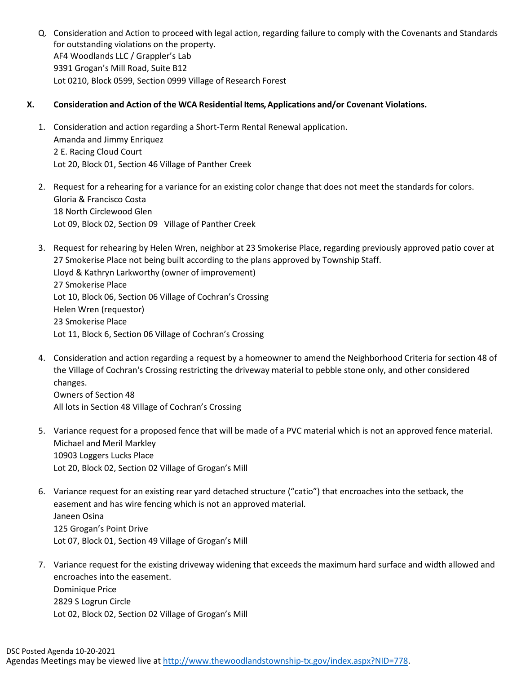Q. Consideration and Action to proceed with legal action, regarding failure to comply with the Covenants and Standards for outstanding violations on the property. AF4 Woodlands LLC / Grappler's Lab 9391 Grogan's Mill Road, Suite B12 Lot 0210, Block 0599, Section 0999 Village of Research Forest

## **X. Consideration and Action of the WCA Residential Items, Applications and/or Covenant Violations.**

- 1. Consideration and action regarding a Short-Term Rental Renewal application. Amanda and Jimmy Enriquez 2 E. Racing Cloud Court Lot 20, Block 01, Section 46 Village of Panther Creek
- 2. Request for a rehearing for a variance for an existing color change that does not meet the standards for colors. Gloria & Francisco Costa 18 North Circlewood Glen Lot 09, Block 02, Section 09 Village of Panther Creek
- 3. Request for rehearing by Helen Wren, neighbor at 23 Smokerise Place, regarding previously approved patio cover at 27 Smokerise Place not being built according to the plans approved by Township Staff. Lloyd & Kathryn Larkworthy (owner of improvement) 27 Smokerise Place Lot 10, Block 06, Section 06 Village of Cochran's Crossing Helen Wren (requestor) 23 Smokerise Place Lot 11, Block 6, Section 06 Village of Cochran's Crossing
- 4. Consideration and action regarding a request by a homeowner to amend the Neighborhood Criteria for section 48 of the Village of Cochran's Crossing restricting the driveway material to pebble stone only, and other considered changes.

Owners of Section 48 All lots in Section 48 Village of Cochran's Crossing

- 5. Variance request for a proposed fence that will be made of a PVC material which is not an approved fence material. Michael and Meril Markley 10903 Loggers Lucks Place Lot 20, Block 02, Section 02 Village of Grogan's Mill
- 6. Variance request for an existing rear yard detached structure ("catio") that encroaches into the setback, the easement and has wire fencing which is not an approved material. Janeen Osina 125 Grogan's Point Drive Lot 07, Block 01, Section 49 Village of Grogan's Mill
- 7. Variance request for the existing driveway widening that exceeds the maximum hard surface and width allowed and encroaches into the easement. Dominique Price 2829 S Logrun Circle Lot 02, Block 02, Section 02 Village of Grogan's Mill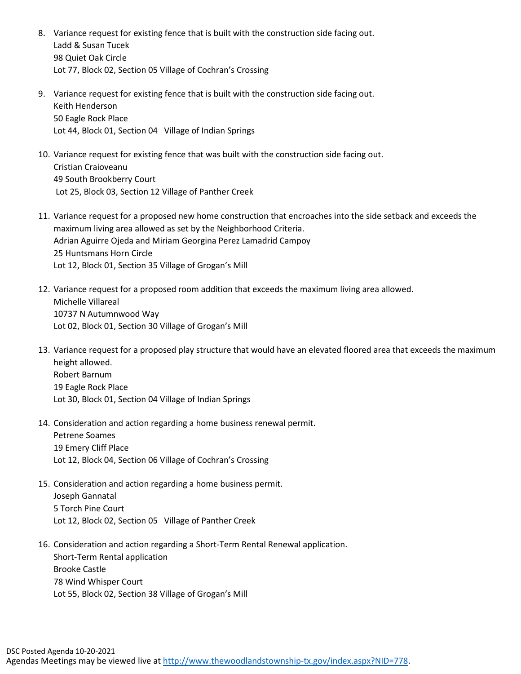- 8. Variance request for existing fence that is built with the construction side facing out. Ladd & Susan Tucek 98 Quiet Oak Circle Lot 77, Block 02, Section 05 Village of Cochran's Crossing
- 9. Variance request for existing fence that is built with the construction side facing out. Keith Henderson 50 Eagle Rock Place Lot 44, Block 01, Section 04 Village of Indian Springs
- 10. Variance request for existing fence that was built with the construction side facing out. Cristian Craioveanu 49 South Brookberry Court Lot 25, Block 03, Section 12 Village of Panther Creek
- 11. Variance request for a proposed new home construction that encroaches into the side setback and exceeds the maximum living area allowed as set by the Neighborhood Criteria. Adrian Aguirre Ojeda and Miriam Georgina Perez Lamadrid Campoy 25 Huntsmans Horn Circle Lot 12, Block 01, Section 35 Village of Grogan's Mill
- 12. Variance request for a proposed room addition that exceeds the maximum living area allowed. Michelle Villareal 10737 N Autumnwood Way Lot 02, Block 01, Section 30 Village of Grogan's Mill
- 13. Variance request for a proposed play structure that would have an elevated floored area that exceeds the maximum height allowed. Robert Barnum 19 Eagle Rock Place Lot 30, Block 01, Section 04 Village of Indian Springs
- 14. Consideration and action regarding a home business renewal permit. Petrene Soames 19 Emery Cliff Place Lot 12, Block 04, Section 06 Village of Cochran's Crossing
- 15. Consideration and action regarding a home business permit. Joseph Gannatal 5 Torch Pine Court Lot 12, Block 02, Section 05 Village of Panther Creek
- 16. Consideration and action regarding a Short-Term Rental Renewal application. Short-Term Rental application Brooke Castle 78 Wind Whisper Court Lot 55, Block 02, Section 38 Village of Grogan's Mill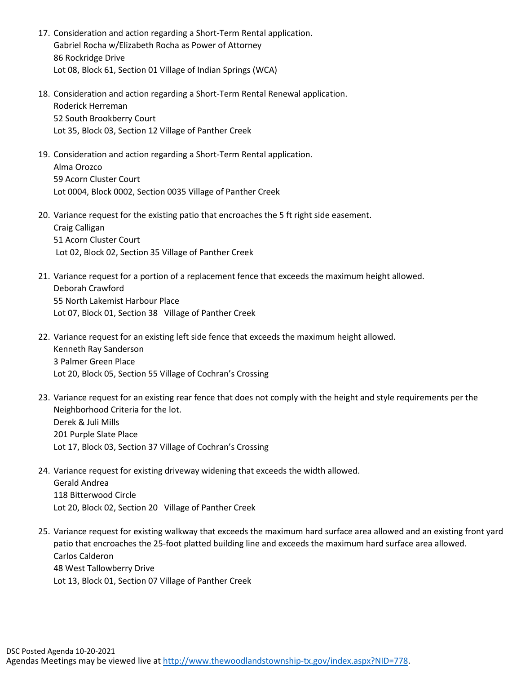- 17. Consideration and action regarding a Short-Term Rental application. Gabriel Rocha w/Elizabeth Rocha as Power of Attorney 86 Rockridge Drive Lot 08, Block 61, Section 01 Village of Indian Springs (WCA)
- 18. Consideration and action regarding a Short-Term Rental Renewal application. Roderick Herreman 52 South Brookberry Court Lot 35, Block 03, Section 12 Village of Panther Creek
- 19. Consideration and action regarding a Short-Term Rental application. Alma Orozco 59 Acorn Cluster Court Lot 0004, Block 0002, Section 0035 Village of Panther Creek
- 20. Variance request for the existing patio that encroaches the 5 ft right side easement. Craig Calligan 51 Acorn Cluster Court Lot 02, Block 02, Section 35 Village of Panther Creek
- 21. Variance request for a portion of a replacement fence that exceeds the maximum height allowed. Deborah Crawford 55 North Lakemist Harbour Place Lot 07, Block 01, Section 38 Village of Panther Creek
- 22. Variance request for an existing left side fence that exceeds the maximum height allowed. Kenneth Ray Sanderson 3 Palmer Green Place Lot 20, Block 05, Section 55 Village of Cochran's Crossing
- 23. Variance request for an existing rear fence that does not comply with the height and style requirements per the Neighborhood Criteria for the lot. Derek & Juli Mills 201 Purple Slate Place Lot 17, Block 03, Section 37 Village of Cochran's Crossing
- 24. Variance request for existing driveway widening that exceeds the width allowed. Gerald Andrea 118 Bitterwood Circle Lot 20, Block 02, Section 20 Village of Panther Creek
- 25. Variance request for existing walkway that exceeds the maximum hard surface area allowed and an existing front yard patio that encroaches the 25-foot platted building line and exceeds the maximum hard surface area allowed. Carlos Calderon 48 West Tallowberry Drive Lot 13, Block 01, Section 07 Village of Panther Creek